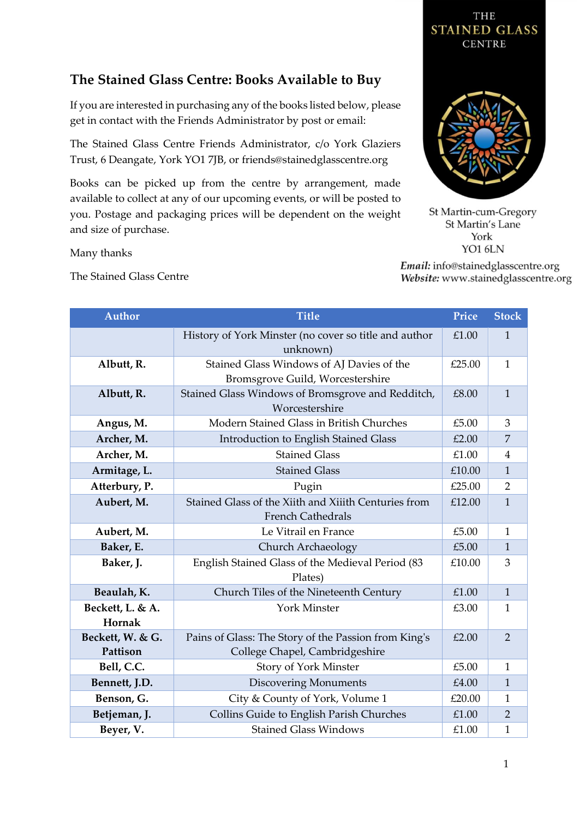## **The Stained Glass Centre: Books Available to Buy**

If you are interested in purchasing any of the books listed below, please get in contact with the Friends Administrator by post or email:

The Stained Glass Centre Friends Administrator, c/o York Glaziers Trust, 6 Deangate, York YO1 7JB, or friends@stainedglasscentre.org

Books can be picked up from the centre by arrangement, made available to collect at any of our upcoming events, or will be posted to you. Postage and packaging prices will be dependent on the weight and size of purchase.

Many thanks

The Stained Glass Centre



THE

St Martin-cum-Gregory St Martin's Lane York YO1 6LN

Email: info@stainedglasscentre.org Website: www.stainedglasscentre.org

| <b>Author</b>              | <b>Title</b>                                                                  | Price  | <b>Stock</b>   |
|----------------------------|-------------------------------------------------------------------------------|--------|----------------|
|                            | History of York Minster (no cover so title and author<br>unknown)             | £1.00  | $\mathbf{1}$   |
| Albutt, R.                 | Stained Glass Windows of AJ Davies of the<br>Bromsgrove Guild, Worcestershire | £25.00 | $\mathbf{1}$   |
| Albutt, R.                 | Stained Glass Windows of Bromsgrove and Redditch,<br>Worcestershire           | £8.00  | $\mathbf{1}$   |
| Angus, M.                  | Modern Stained Glass in British Churches                                      | £5.00  | 3              |
| Archer, M.                 | Introduction to English Stained Glass                                         | £2.00  | $\overline{7}$ |
| Archer, M.                 | <b>Stained Glass</b>                                                          | £1.00  | $\overline{4}$ |
| Armitage, L.               | <b>Stained Glass</b>                                                          | £10.00 | $\mathbf{1}$   |
| Atterbury, P.              | Pugin                                                                         | £25.00 | $\overline{2}$ |
| Aubert, M.                 | Stained Glass of the Xiith and Xiiith Centuries from                          | £12.00 | $\mathbf{1}$   |
|                            | <b>French Cathedrals</b>                                                      |        |                |
| Aubert, M.                 | Le Vitrail en France                                                          | £5.00  | $\mathbf{1}$   |
| Baker, E.                  | Church Archaeology                                                            | £5.00  | $\mathbf{1}$   |
| Baker, J.                  | English Stained Glass of the Medieval Period (83<br>Plates)                   | £10.00 | 3              |
| Beaulah, K.                | Church Tiles of the Nineteenth Century                                        | £1.00  | $\mathbf{1}$   |
| Beckett, L. & A.<br>Hornak | <b>York Minster</b>                                                           | £3.00  | 1              |
| Beckett, W. & G.           | Pains of Glass: The Story of the Passion from King's                          | £2.00  | $\overline{2}$ |
| Pattison                   | College Chapel, Cambridgeshire                                                |        |                |
| Bell, C.C.                 | Story of York Minster                                                         | £5.00  | $\mathbf{1}$   |
| Bennett, J.D.              | <b>Discovering Monuments</b>                                                  | £4.00  | $\overline{1}$ |
| Benson, G.                 | City & County of York, Volume 1                                               | £20.00 | $\mathbf{1}$   |
| Betjeman, J.               | Collins Guide to English Parish Churches                                      | £1.00  | $\overline{2}$ |
| Beyer, V.                  | <b>Stained Glass Windows</b>                                                  | £1.00  | $\mathbf{1}$   |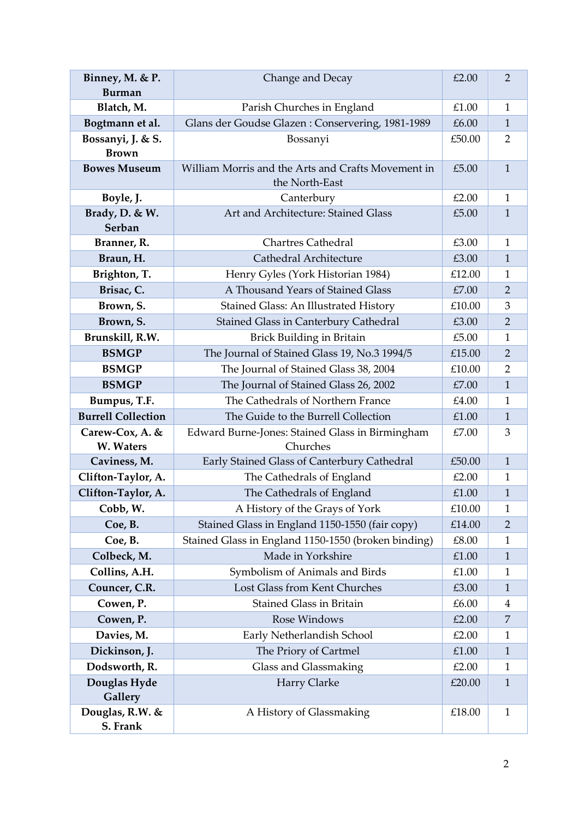| Binney, M. & P.<br><b>Burman</b>  | Change and Decay                                                     | £2.00  | $\overline{2}$ |
|-----------------------------------|----------------------------------------------------------------------|--------|----------------|
| Blatch, M.                        | Parish Churches in England                                           | £1.00  | $\mathbf{1}$   |
| Bogtmann et al.                   | Glans der Goudse Glazen: Conservering, 1981-1989                     | £6.00  | $\mathbf{1}$   |
| Bossanyi, J. & S.<br><b>Brown</b> | Bossanyi                                                             | £50.00 | $\overline{2}$ |
| <b>Bowes Museum</b>               | William Morris and the Arts and Crafts Movement in<br>the North-East | £5.00  | $\mathbf{1}$   |
| Boyle, J.                         | Canterbury                                                           | £2.00  | $\mathbf{1}$   |
| Brady, D. & W.<br>Serban          | Art and Architecture: Stained Glass                                  | £5.00  | $\mathbf{1}$   |
| Branner, R.                       | <b>Chartres Cathedral</b>                                            | £3.00  | $\mathbf{1}$   |
| Braun, H.                         | Cathedral Architecture                                               | £3.00  | $\mathbf{1}$   |
| Brighton, T.                      | Henry Gyles (York Historian 1984)                                    | £12.00 | $\mathbf{1}$   |
| Brisac, C.                        | A Thousand Years of Stained Glass                                    | £7.00  | $\overline{2}$ |
| Brown, S.                         | Stained Glass: An Illustrated History                                | £10.00 | 3              |
| Brown, S.                         | Stained Glass in Canterbury Cathedral                                | £3.00  | $\overline{2}$ |
| Brunskill, R.W.                   | <b>Brick Building in Britain</b>                                     | £5.00  | $\mathbf{1}$   |
| <b>BSMGP</b>                      | The Journal of Stained Glass 19, No.3 1994/5                         | £15.00 | $\overline{2}$ |
| <b>BSMGP</b>                      | The Journal of Stained Glass 38, 2004                                | £10.00 | $\overline{2}$ |
| <b>BSMGP</b>                      | The Journal of Stained Glass 26, 2002                                | £7.00  | $\mathbf{1}$   |
| Bumpus, T.F.                      | The Cathedrals of Northern France                                    | £4.00  | $\mathbf{1}$   |
| <b>Burrell Collection</b>         | The Guide to the Burrell Collection                                  | £1.00  | $\mathbf{1}$   |
| Carew-Cox, A. &                   | Edward Burne-Jones: Stained Glass in Birmingham                      | £7.00  | 3              |
| W. Waters                         | Churches                                                             |        |                |
| Caviness, M.                      | Early Stained Glass of Canterbury Cathedral                          | £50.00 | $\mathbf{1}$   |
| Clifton-Taylor, A.                | The Cathedrals of England                                            | £2.00  | $\mathbf{1}$   |
| Clifton-Taylor, A.                | The Cathedrals of England                                            | £1.00  | $\mathbf{1}$   |
| Cobb, W.                          | A History of the Grays of York                                       | £10.00 | 1              |
| Coe, B.                           | Stained Glass in England 1150-1550 (fair copy)                       | £14.00 | $\overline{2}$ |
| Coe, B.                           | Stained Glass in England 1150-1550 (broken binding)                  | £8.00  | 1              |
| Colbeck, M.                       | Made in Yorkshire                                                    | £1.00  | $\mathbf{1}$   |
| Collins, A.H.                     | Symbolism of Animals and Birds                                       | £1.00  | 1              |
| Councer, C.R.                     | Lost Glass from Kent Churches                                        | £3.00  | $\mathbf{1}$   |
| Cowen, P.                         | Stained Glass in Britain                                             | £6.00  | 4              |
| Cowen, P.                         | Rose Windows                                                         | £2.00  | 7              |
| Davies, M.                        | Early Netherlandish School                                           | £2.00  | $\mathbf{1}$   |
| Dickinson, J.                     | The Priory of Cartmel                                                | £1.00  | $\mathbf{1}$   |
| Dodsworth, R.                     | Glass and Glassmaking                                                | £2.00  | $\mathbf{1}$   |
| Douglas Hyde<br>Gallery           | Harry Clarke                                                         | £20.00 | $\mathbf{1}$   |
| Douglas, R.W. &<br>S. Frank       | A History of Glassmaking                                             | £18.00 | $\mathbf{1}$   |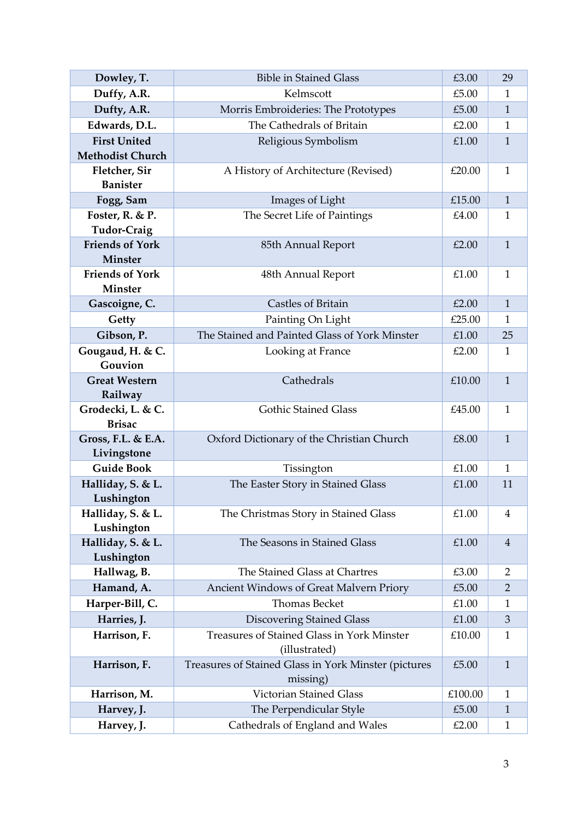| Dowley, T.                        | <b>Bible in Stained Glass</b>                        | £3.00   | 29             |
|-----------------------------------|------------------------------------------------------|---------|----------------|
| Duffy, A.R.                       | Kelmscott                                            | £5.00   | 1              |
| Dufty, A.R.                       | Morris Embroideries: The Prototypes                  | £5.00   | $\mathbf{1}$   |
| Edwards, D.L.                     | The Cathedrals of Britain                            | £2.00   | $\mathbf{1}$   |
| <b>First United</b>               | Religious Symbolism                                  | £1.00   | $\mathbf{1}$   |
| <b>Methodist Church</b>           |                                                      |         |                |
| Fletcher, Sir                     | A History of Architecture (Revised)                  | £20.00  | $\mathbf{1}$   |
| <b>Banister</b>                   |                                                      |         |                |
| Fogg, Sam                         | Images of Light                                      | £15.00  | $\mathbf{1}$   |
| Foster, R. & P.                   | The Secret Life of Paintings                         | £4.00   | 1              |
| <b>Tudor-Craig</b>                |                                                      |         |                |
| <b>Friends of York</b><br>Minster | 85th Annual Report                                   | £2.00   | $\mathbf{1}$   |
| <b>Friends of York</b>            | 48th Annual Report                                   | £1.00   | 1              |
| Minster                           |                                                      |         |                |
| Gascoigne, C.                     | <b>Castles of Britain</b>                            | £2.00   | $\mathbf{1}$   |
| Getty                             | Painting On Light                                    | £25.00  | $\mathbf{1}$   |
| Gibson, P.                        | The Stained and Painted Glass of York Minster        | £1.00   | 25             |
| Gougaud, H. & C.                  | Looking at France                                    | £2.00   | $\mathbf{1}$   |
| Gouvion                           |                                                      |         |                |
| <b>Great Western</b>              | Cathedrals                                           | £10.00  | $\mathbf{1}$   |
| Railway                           |                                                      |         |                |
| Grodecki, L. & C.                 | <b>Gothic Stained Glass</b>                          | £45.00  | $\mathbf{1}$   |
| <b>Brisac</b>                     |                                                      |         |                |
| Gross, F.L. & E.A.                | Oxford Dictionary of the Christian Church            | £8.00   | $\mathbf{1}$   |
| Livingstone<br><b>Guide Book</b>  |                                                      | £1.00   | $\mathbf{1}$   |
| Halliday, S. & L.                 | Tissington<br>The Easter Story in Stained Glass      | £1.00   | 11             |
| Lushington                        |                                                      |         |                |
| Halliday, S. & L.                 | The Christmas Story in Stained Glass                 | £1.00   | 4              |
| Lushington                        |                                                      |         |                |
| Halliday, S. & L.                 | The Seasons in Stained Glass                         | £1.00   | $\overline{4}$ |
| Lushington                        |                                                      |         |                |
| Hallwag, B.                       | The Stained Glass at Chartres                        | £3.00   | 2              |
| Hamand, A.                        | Ancient Windows of Great Malvern Priory              | £5.00   | $\overline{2}$ |
| Harper-Bill, C.                   | Thomas Becket                                        | £1.00   | 1              |
| Harries, J.                       | <b>Discovering Stained Glass</b>                     | £1.00   | 3              |
| Harrison, F.                      | Treasures of Stained Glass in York Minster           | £10.00  | $\mathbf{1}$   |
|                                   | (illustrated)                                        |         |                |
| Harrison, F.                      | Treasures of Stained Glass in York Minster (pictures | £5.00   | $\mathbf{1}$   |
|                                   | missing)                                             |         |                |
| Harrison, M.                      | <b>Victorian Stained Glass</b>                       | £100.00 | 1              |
| Harvey, J.                        | The Perpendicular Style                              | £5.00   | $\mathbf{1}$   |
| Harvey, J.                        | Cathedrals of England and Wales                      | £2.00   | $\mathbf{1}$   |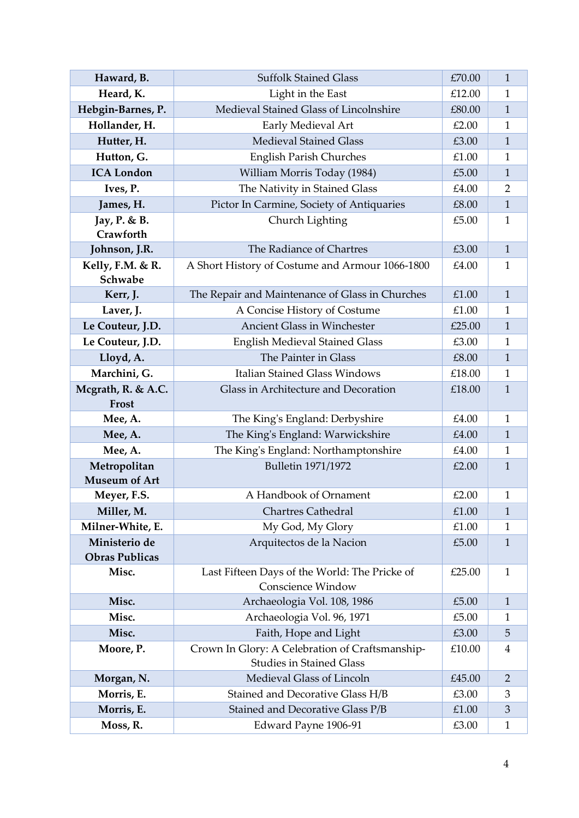| Haward, B.                             | <b>Suffolk Stained Glass</b>                                                       | £70.00 | $\mathbf{1}$   |
|----------------------------------------|------------------------------------------------------------------------------------|--------|----------------|
| Heard, K.                              | Light in the East                                                                  | £12.00 | 1              |
| Hebgin-Barnes, P.                      | Medieval Stained Glass of Lincolnshire                                             | £80.00 | $\mathbf{1}$   |
| Hollander, H.                          | Early Medieval Art                                                                 | £2.00  | $\mathbf{1}$   |
| Hutter, H.                             | <b>Medieval Stained Glass</b>                                                      | £3.00  | $\mathbf{1}$   |
| Hutton, G.                             | <b>English Parish Churches</b>                                                     | £1.00  | $\mathbf{1}$   |
| <b>ICA London</b>                      | William Morris Today (1984)                                                        | £5.00  | $\mathbf{1}$   |
| Ives, P.                               | The Nativity in Stained Glass                                                      | £4.00  | $\overline{2}$ |
| James, H.                              | Pictor In Carmine, Society of Antiquaries                                          | £8.00  | $\mathbf{1}$   |
| Jay, P. & B.                           | Church Lighting                                                                    | £5.00  | $\mathbf{1}$   |
| Crawforth                              |                                                                                    |        |                |
| Johnson, J.R.                          | The Radiance of Chartres                                                           | £3.00  | $\mathbf{1}$   |
| Kelly, F.M. & R.                       | A Short History of Costume and Armour 1066-1800                                    | £4.00  | $\mathbf{1}$   |
| Schwabe                                |                                                                                    |        |                |
| Kerr, J.                               | The Repair and Maintenance of Glass in Churches                                    | £1.00  | $\mathbf{1}$   |
| Laver, J.                              | A Concise History of Costume                                                       | £1.00  | 1              |
| Le Couteur, J.D.                       | <b>Ancient Glass in Winchester</b>                                                 | £25.00 | $\mathbf{1}$   |
| Le Couteur, J.D.                       | <b>English Medieval Stained Glass</b>                                              | £3.00  | $\mathbf{1}$   |
| Lloyd, A.                              | The Painter in Glass                                                               | £8.00  | $\mathbf{1}$   |
| Marchini, G.                           | <b>Italian Stained Glass Windows</b>                                               | £18.00 | $\mathbf{1}$   |
| Mcgrath, R. & A.C.<br>Frost            | Glass in Architecture and Decoration                                               | £18.00 | $\mathbf{1}$   |
| Mee, A.                                | The King's England: Derbyshire                                                     | £4.00  | $\mathbf{1}$   |
| Mee, A.                                | The King's England: Warwickshire                                                   | £4.00  | $\mathbf{1}$   |
| Mee, A.                                | The King's England: Northamptonshire                                               | £4.00  | 1              |
| Metropolitan<br><b>Museum of Art</b>   | <b>Bulletin 1971/1972</b>                                                          | £2.00  | $\mathbf{1}$   |
| Meyer, F.S.                            | A Handbook of Ornament                                                             | £2.00  | $\mathbf{1}$   |
| Miller, M.                             | <b>Chartres Cathedral</b>                                                          | £1.00  | $\mathbf{1}$   |
| Milner-White, E.                       | My God, My Glory                                                                   | £1.00  | $\mathbf{1}$   |
| Ministerio de<br><b>Obras Publicas</b> | Arquitectos de la Nacion                                                           | £5.00  | $\mathbf{1}$   |
| Misc.                                  | Last Fifteen Days of the World: The Pricke of<br><b>Conscience Window</b>          | £25.00 | 1              |
| Misc.                                  | Archaeologia Vol. 108, 1986                                                        | £5.00  | $\mathbf{1}$   |
| Misc.                                  | Archaeologia Vol. 96, 1971                                                         | £5.00  | 1              |
| Misc.                                  | Faith, Hope and Light                                                              | £3.00  | 5              |
| Moore, P.                              | Crown In Glory: A Celebration of Craftsmanship-<br><b>Studies in Stained Glass</b> | £10.00 | $\overline{4}$ |
| Morgan, N.                             | Medieval Glass of Lincoln                                                          | £45.00 | $\overline{2}$ |
| Morris, E.                             | Stained and Decorative Glass H/B                                                   | £3.00  | 3              |
| Morris, E.                             | Stained and Decorative Glass P/B                                                   | £1.00  | $\mathfrak 3$  |
| Moss, R.                               |                                                                                    | £3.00  | $\mathbf{1}$   |
|                                        | Edward Payne 1906-91                                                               |        |                |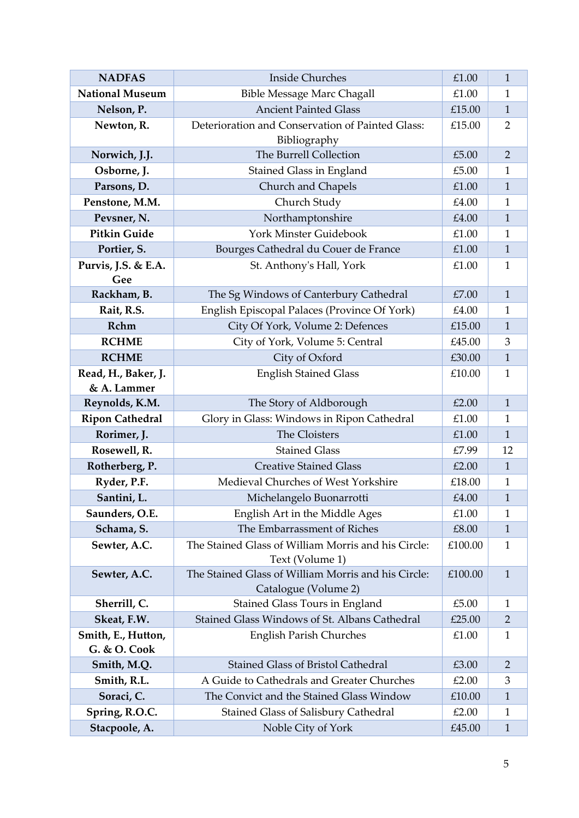| <b>NADFAS</b>                      | <b>Inside Churches</b>                                                      | £1.00   | $\mathbf{1}$   |
|------------------------------------|-----------------------------------------------------------------------------|---------|----------------|
| <b>National Museum</b>             | <b>Bible Message Marc Chagall</b>                                           | £1.00   | $\mathbf{1}$   |
| Nelson, P.                         | <b>Ancient Painted Glass</b>                                                | £15.00  | $\mathbf{1}$   |
| Newton, R.                         | Deterioration and Conservation of Painted Glass:<br>Bibliography            | £15.00  | $\overline{2}$ |
| Norwich, J.J.                      | The Burrell Collection                                                      | £5.00   | $\overline{2}$ |
| Osborne, J.                        | <b>Stained Glass in England</b>                                             | £5.00   | $\mathbf{1}$   |
| Parsons, D.                        | Church and Chapels                                                          | £1.00   | $\mathbf{1}$   |
| Penstone, M.M.                     | Church Study                                                                | £4.00   | $\mathbf{1}$   |
| Pevsner, N.                        | Northamptonshire                                                            | £4.00   | $\mathbf{1}$   |
| <b>Pitkin Guide</b>                | York Minster Guidebook                                                      | £1.00   | $\mathbf{1}$   |
| Portier, S.                        | Bourges Cathedral du Couer de France                                        | £1.00   | $\mathbf{1}$   |
| Purvis, J.S. & E.A.<br>Gee         | St. Anthony's Hall, York                                                    | £1.00   | $\mathbf{1}$   |
| Rackham, B.                        | The Sg Windows of Canterbury Cathedral                                      | £7.00   | $\mathbf{1}$   |
| Rait, R.S.                         | English Episcopal Palaces (Province Of York)                                | £4.00   | $\mathbf{1}$   |
| Rchm                               | City Of York, Volume 2: Defences                                            | £15.00  | $\mathbf{1}$   |
| <b>RCHME</b>                       | City of York, Volume 5: Central                                             | £45.00  | 3              |
| <b>RCHME</b>                       | City of Oxford                                                              | £30.00  | $\mathbf{1}$   |
| Read, H., Baker, J.                | <b>English Stained Glass</b>                                                | £10.00  | $\mathbf{1}$   |
| & A. Lammer                        |                                                                             |         |                |
| Reynolds, K.M.                     | The Story of Aldborough                                                     | £2.00   | $\mathbf{1}$   |
| <b>Ripon Cathedral</b>             | Glory in Glass: Windows in Ripon Cathedral                                  | £1.00   | $\mathbf{1}$   |
| Rorimer, J.                        | The Cloisters                                                               | £1.00   | $\mathbf{1}$   |
| Rosewell, R.                       | <b>Stained Glass</b>                                                        | £7.99   | 12             |
| Rotherberg, P.                     | <b>Creative Stained Glass</b>                                               | £2.00   | $\mathbf{1}$   |
| Ryder, P.F.                        | Medieval Churches of West Yorkshire                                         | £18.00  | $\mathbf{1}$   |
| Santini, L.                        | Michelangelo Buonarrotti                                                    | £4.00   | $\mathbf{1}$   |
| Saunders, O.E.                     | English Art in the Middle Ages                                              | £1.00   | 1              |
| Schama, S.                         | The Embarrassment of Riches                                                 | £8.00   | 1              |
| Sewter, A.C.                       | The Stained Glass of William Morris and his Circle:<br>Text (Volume 1)      | £100.00 | $\mathbf{1}$   |
| Sewter, A.C.                       | The Stained Glass of William Morris and his Circle:<br>Catalogue (Volume 2) | £100.00 | $\mathbf{1}$   |
| Sherrill, C.                       | Stained Glass Tours in England                                              | £5.00   | 1              |
| Skeat, F.W.                        | Stained Glass Windows of St. Albans Cathedral                               | £25.00  | 2              |
| Smith, E., Hutton,<br>G. & O. Cook | <b>English Parish Churches</b>                                              | £1.00   | 1              |
| Smith, M.Q.                        | Stained Glass of Bristol Cathedral                                          | £3.00   | $\overline{2}$ |
| Smith, R.L.                        | A Guide to Cathedrals and Greater Churches                                  | £2.00   | 3              |
| Soraci, C.                         | The Convict and the Stained Glass Window                                    | £10.00  | $\mathbf{1}$   |
| Spring, R.O.C.                     | <b>Stained Glass of Salisbury Cathedral</b>                                 | £2.00   | 1              |
| Stacpoole, A.                      | Noble City of York                                                          | £45.00  | $\mathbf{1}$   |